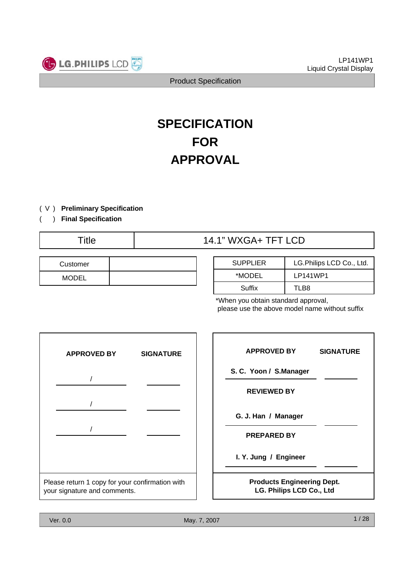

# **SPECIFICATION FOR APPROVAL**

#### (V) **Preliminary Specification**

( ) **Final Specification**

| itie | חי<br>ıΛ<br>$\sim$<br>-11<br>└──<br>.<br>,,,,,,,,, |
|------|----------------------------------------------------|
|------|----------------------------------------------------|

| Customer     |  |
|--------------|--|
| <b>MODEL</b> |  |

| <b>SUPPLIER</b> | LG.Philips LCD Co., Ltd. |  |
|-----------------|--------------------------|--|
| *MODEL          | LP141WP1                 |  |
| Suffix          | TLB8                     |  |

\*When you obtain standard approval, please use the above model name without suffix

| <b>APPROVED BY</b>                                                              | <b>SIGNATURE</b> |  |  |  |
|---------------------------------------------------------------------------------|------------------|--|--|--|
|                                                                                 |                  |  |  |  |
|                                                                                 |                  |  |  |  |
|                                                                                 |                  |  |  |  |
|                                                                                 |                  |  |  |  |
|                                                                                 |                  |  |  |  |
| Please return 1 copy for your confirmation with<br>your signature and comments. |                  |  |  |  |

| <b>APPROVED BY</b>                                            | <b>SIGNATURE</b> |
|---------------------------------------------------------------|------------------|
| S. C. Yoon / S.Manager                                        |                  |
| <b>REVIEWED BY</b>                                            |                  |
| G. J. Han / Manager                                           |                  |
| <b>PREPARED BY</b>                                            |                  |
| I. Y. Jung / Engineer                                         |                  |
| <b>Products Engineering Dept.</b><br>LG. Philips LCD Co., Ltd |                  |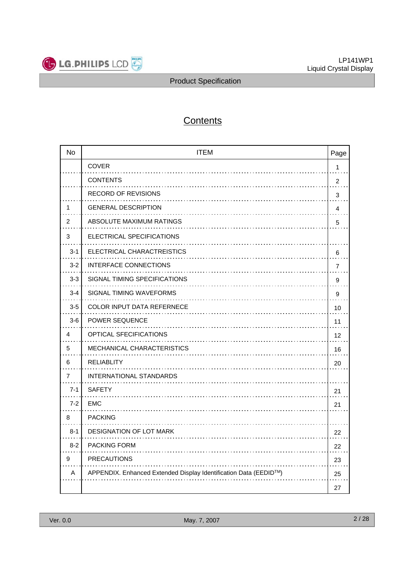

# **Contents**

| <b>No</b>      | <b>ITEM</b><br>Page                                              |                |  |
|----------------|------------------------------------------------------------------|----------------|--|
|                | <b>COVER</b>                                                     | 1              |  |
|                | <b>CONTENTS</b>                                                  | 2              |  |
|                | <b>RECORD OF REVISIONS</b>                                       | 3              |  |
| 1              | <b>GENERAL DESCRIPTION</b>                                       | 4              |  |
| $\overline{2}$ | ABSOLUTE MAXIMUM RATINGS                                         | 5              |  |
| 3              | ELECTRICAL SPECIFICATIONS                                        |                |  |
| $3 - 1$        | ELECTRICAL CHARACTREISTICS                                       | 6              |  |
| $3 - 2$        | <b>INTERFACE CONNECTIONS</b>                                     | $\overline{7}$ |  |
| $3 - 3$        | SIGNAL TIMING SPECIFICATIONS                                     | 9              |  |
| $3 - 4$        | SIGNAL TIMING WAVEFORMS                                          | 9              |  |
| $3-5$          | <b>COLOR INPUT DATA REFERNECE</b>                                | 10             |  |
| $3-6$          | <b>POWER SEQUENCE</b>                                            | 11             |  |
| 4              | OPTICAL SFECIFICATIONS                                           | 12             |  |
| 5              | <b>MECHANICAL CHARACTERISTICS</b>                                | 16             |  |
| 6              | <b>RELIABLITY</b>                                                | 20             |  |
| 7              | <b>INTERNATIONAL STANDARDS</b>                                   |                |  |
| $7 - 1$        | <b>SAFETY</b>                                                    | 21             |  |
| $7 - 2$        | EMC                                                              | 21             |  |
| 8              | <b>PACKING</b>                                                   |                |  |
| $8 - 1$        | <b>DESIGNATION OF LOT MARK</b>                                   | 22             |  |
| $8 - 2$        | <b>PACKING FORM</b>                                              | 22             |  |
| 9              | <b>PRECAUTIONS</b>                                               | 23             |  |
| A              | APPENDIX. Enhanced Extended Display Identification Data (EEDID™) | 25             |  |
|                |                                                                  | 27             |  |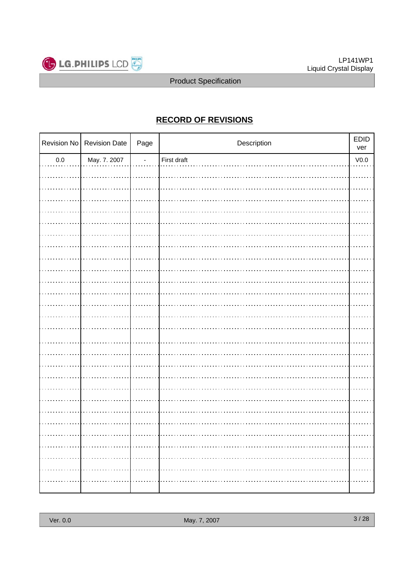

# **RECORD OF REVISIONS**

|         | Revision No Revision Date | Page           | Description | EDID<br>ver      |
|---------|---------------------------|----------------|-------------|------------------|
| $0.0\,$ | May. 7. 2007              | $\blacksquare$ | First draft | V <sub>0.0</sub> |
|         |                           |                |             |                  |
|         |                           |                |             |                  |
|         |                           |                |             |                  |
|         |                           |                |             |                  |
|         |                           |                |             |                  |
|         |                           |                |             |                  |
|         |                           |                |             |                  |
|         |                           |                |             |                  |
|         |                           |                |             |                  |
|         |                           |                |             |                  |
|         |                           |                |             |                  |
|         |                           |                |             |                  |
|         |                           |                |             |                  |
|         |                           |                |             |                  |
|         |                           |                |             |                  |
|         |                           |                |             |                  |
|         |                           |                |             |                  |
|         |                           |                |             |                  |
|         |                           |                |             |                  |
|         |                           |                |             |                  |
|         |                           |                |             |                  |
|         |                           |                |             |                  |
|         |                           |                |             |                  |
|         |                           |                |             |                  |
|         |                           |                |             |                  |
|         |                           |                |             |                  |
|         |                           |                |             |                  |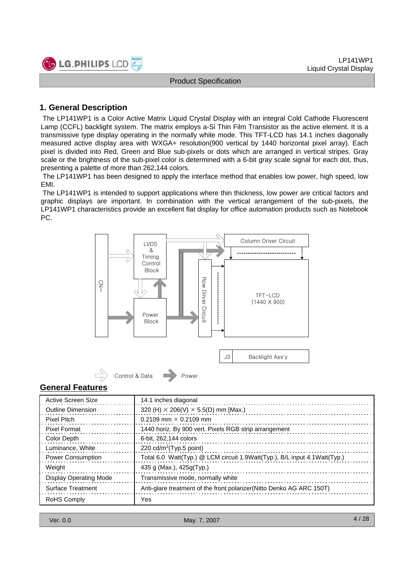

# **1. General Description**

The LP141WP1 is a Color Active Matrix Liquid Crystal Display with an integral Cold Cathode Fluorescent Lamp (CCFL) backlight system. The matrix employs a-Si Thin Film Transistor as the active element. It is a transmissive type display operating in the normally white mode. This TFT-LCD has 14.1 inches diagonally measured active display area with WXGA+ resolution(900 vertical by 1440 horizontal pixel array). Each pixel is divided into Red, Green and Blue sub-pixels or dots which are arranged in vertical stripes. Gray scale or the brightness of the sub-pixel color is determined with a 6-bit gray scale signal for each dot, thus, presenting a palette of more than 262,144 colors.

The LP141WP1 has been designed to apply the interface method that enables low power, high speed, low EMI.

The LP141WP1 is intended to support applications where thin thickness, low power are critical factors and graphic displays are important. In combination with the vertical arrangement of the sub-pixels, the LP141WP1 characteristics provide an excellent flat display for office automation products such as Notebook PC.



| Active Screen Size       | 14.1 inches diagonal                                                      |
|--------------------------|---------------------------------------------------------------------------|
| <b>Outline Dimension</b> | 320 (H) $\times$ 206(V) $\times$ 5.5(D) mm [Max.)                         |
| <b>Pixel Pitch</b>       | 0.2109 mm $\times$ 0.2109 mm                                              |
| <b>Pixel Format</b>      | 1440 horiz. By 900 vert. Pixels RGB strip arrangement                     |
| Color Depth              | 6-bit, 262,144 colors                                                     |
| Luminance, White         | 220 $cd/m^2$ (Typ.5 point)                                                |
| <b>Power Consumption</b> | Total 6.0 Watt(Typ.) @ LCM circuit 1.9Watt(Typ.), B/L input 4.1Watt(Typ.) |
| Weight                   | 435 g (Max.), $425g(Typ.)$                                                |
| Display Operating Mode   | Transmissive mode, normally white                                         |
| <b>Surface Treatment</b> | Anti-glare treatment of the front polarizer (Nitto Denko AG ARC 150T)     |
| <b>RoHS Comply</b>       | Yes                                                                       |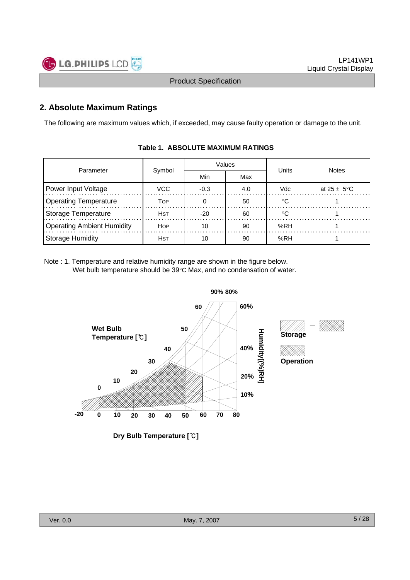

### **2. Absolute Maximum Ratings**

The following are maximum values which, if exceeded, may cause faulty operation or damage to the unit.

| Parameter                  | Symbol      |        | Values | Units | <b>Notes</b>            |  |
|----------------------------|-------------|--------|--------|-------|-------------------------|--|
|                            |             | Min    | Max    |       |                         |  |
| Power Input Voltage        | <b>VCC</b>  | $-0.3$ | 4.0    | Vdc   | at $25 \pm 5^{\circ}$ C |  |
| Operating Temperature      | TOP         |        | 50     | ∘∩    |                         |  |
| Storage Temperature        | <b>HST</b>  | $-20$  | 60     | ം     |                         |  |
| Operating Ambient Humidity | <b>HOP</b>  | 10     | 90     | %RH   |                         |  |
| Storage Humidity           | <b>H</b> st | 10     | 90     | %RH   |                         |  |

#### **Table 1. ABSOLUTE MAXIMUM RATINGS**

Note : 1. Temperature and relative humidity range are shown in the figure below. Wet bulb temperature should be 39°C Max, and no condensation of water.

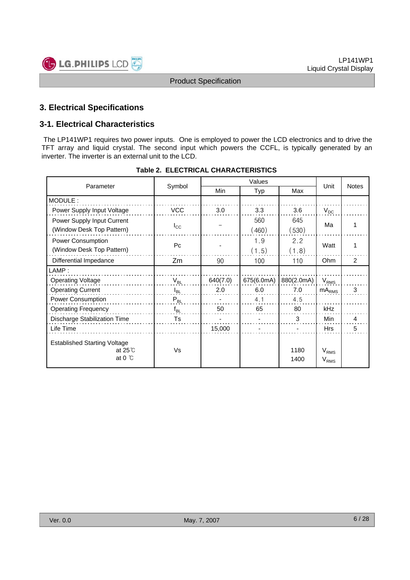# **3. Electrical Specifications**

## **3-1. Electrical Characteristics**

The LP141WP1 requires two power inputs. One is employed to power the LCD electronics and to drive the TFT array and liquid crystal. The second input which powers the CCFL, is typically generated by an inverter. The inverter is an external unit to the LCD.

|                                                                            |              | Values     |            |              |                               | <b>Notes</b> |
|----------------------------------------------------------------------------|--------------|------------|------------|--------------|-------------------------------|--------------|
| Parameter                                                                  | Symbol       | <b>Min</b> | Typ        | Max          | Unit                          |              |
| MODULE:                                                                    |              |            |            |              |                               |              |
| Power Supply Input Voltage                                                 | <b>VCC</b>   | 3.0        | 3.3        | 3.6          | $V_{DC}$                      |              |
| Power Supply Input Current                                                 |              |            | 560        | 645          |                               |              |
| (Window Desk Top Pattern)                                                  | $I_{\rm CC}$ |            | (460)      | (530)        | Ma                            |              |
| <b>Power Consumption</b>                                                   | Pc           |            | 1.9        | 2.2          |                               | 1            |
| (Window Desk Top Pattern)                                                  |              |            | (1.5)      | (1.8)        | Watt                          |              |
| Differential Impedance                                                     | Zm           | 90         | 100        | 110          | Ohm                           | 2            |
| LAMP:                                                                      |              |            |            |              |                               |              |
| <b>Operating Voltage</b>                                                   | $V_{BL}$     | 640(7.0)   | 675(6.0mA) | 880(2.0mA)   | $V_{RMS}$                     |              |
| <b>Operating Current</b>                                                   | $I_{BL}$     | 2.0        | 6.0        | 7.0          | $mA_{RMS}$                    | 3            |
| Power Consumption                                                          | $P_{BL}$     |            | 4.1        | 4.5          |                               |              |
| <b>Operating Frequency</b>                                                 | $f_{BL}$     | 50         | 65         | 80           | kHz                           |              |
| Discharge Stabilization Time                                               | Ts           |            |            | 3            | Min                           | 4            |
| Life Time                                                                  |              | 15,000     |            |              | <b>Hrs</b>                    | 5            |
| <b>Established Starting Voltage</b><br>at $25^\circ$ C<br>at $0^{\circ}$ C | Vs           |            |            | 1180<br>1400 | V <sub>RMS</sub><br>$V_{RMS}$ |              |

#### **Table 2. ELECTRICAL CHARACTERISTICS**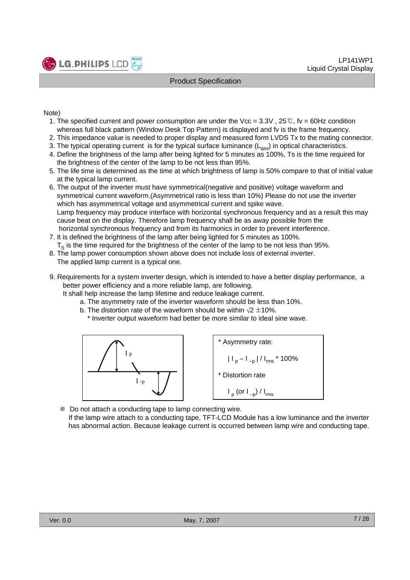

Note)

**LG.PHILIPS LCD** 

- 1. The specified current and power consumption are under the Vcc =  $3.3V$ ,  $25^{\circ}$ , fv =  $60$ Hz condition whereas full black pattern (Window Desk Top Pattern) is displayed and fv is the frame frequency.
- 2. This impedance value is needed to proper display and measured form LVDS Tx to the mating connector.
- 3. The typical operating current is for the typical surface luminance  $(L_{WH})$  in optical characteristics.
- 4. Define the brightness of the lamp after being lighted for 5 minutes as 100%, Ts is the time required for the brightness of the center of the lamp to be not less than 95%.
- 5. The life time is determined as the time at which brightness of lamp is 50% compare to that of initial value at the typical lamp current.
- 6. The output of the inverter must have symmetrical(negative and positive) voltage waveform and symmetrical current waveform.(Asymmetrical ratio is less than 10%) Please do not use the inverter which has asymmetrical voltage and asymmetrical current and spike wave. Lamp frequency may produce interface with horizontal synchronous frequency and as a result this may cause beat on the display. Therefore lamp frequency shall be as away possible from the horizontal synchronous frequency and from its harmonics in order to prevent interference.
- 7. It is defined the brightness of the lamp after being lighted for 5 minutes as 100%.  $T<sub>s</sub>$  is the time required for the brightness of the center of the lamp to be not less than 95%.
- 8. The lamp power consumption shown above does not include loss of external inverter. The applied lamp current is a typical one.
- 9. Requirements for a system inverter design, which is intended to have a better display performance, a better power efficiency and a more reliable lamp, are following.

It shall help increase the lamp lifetime and reduce leakage current.

- a. The asymmetry rate of the inverter waveform should be less than 10%.
- b. The distortion rate of the waveform should be within  $\sqrt{2} \pm 10\%$ .
	- \* Inverter output waveform had better be more similar to ideal sine wave.





※ Do not attach a conducting tape to lamp connecting wire. If the lamp wire attach to a conducting tape, TFT-LCD Module has a low luminance and the inverter has abnormal action. Because leakage current is occurred between lamp wire and conducting tape.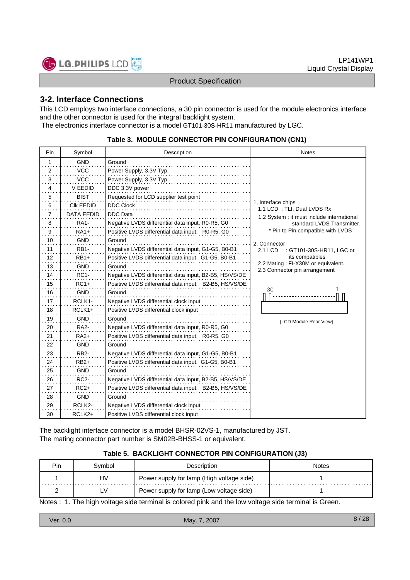

## **3-2. Interface Connections**

This LCD employs two interface connections, a 30 pin connector is used for the module electronics interface and the other connector is used for the integral backlight system.

The electronics interface connector is a model GT101-30S-HR11 manufactured by LGC.

#### **Table 3. MODULE CONNECTOR PIN CONFIGURATION (CN1)**

| Pin      | Symbol            | Description                                            | <b>Notes</b>                                                        |
|----------|-------------------|--------------------------------------------------------|---------------------------------------------------------------------|
| 1        | <b>GND</b>        | Ground                                                 |                                                                     |
| 2        | <b>VCC</b>        | Power Supply, 3.3V Typ.                                |                                                                     |
| 3        | <b>VCC</b>        | Power Supply, 3.3V Typ.                                |                                                                     |
| 4        | V EEDID           | DDC 3.3V power                                         |                                                                     |
| 5<br>. . | <b>BIST</b>       | Requested for LCD supplier test point                  |                                                                     |
| 6        | CIK EEDID         | <b>DDC Clock</b>                                       | 1, Interface chips<br>1.1 LCD: TLI, Dual LVDS Rx                    |
| 7        | <b>DATA EEDID</b> | <b>DDC</b> Data                                        | 1.2 System : it must include international                          |
| 8        | <b>RA1-</b>       | Negative LVDS differential data input, R0-R5, G0       | standard LVDS Transmitter.                                          |
| 9        | $RA1+$            | Positive LVDS differential data input, R0-R5, G0       | * Pin to Pin compatible with LVDS                                   |
| 10       | <b>GND</b>        | Ground                                                 | 2. Connector                                                        |
| 11       | <b>RB1-</b>       | Negative LVDS differential data input, G1-G5, B0-B1    | : GT101-30S-HR11, LGC or<br>2.1 LCD                                 |
| 12       | $RB1+$            | Positive LVDS differential data input, G1-G5, B0-B1    | its compatibles                                                     |
| 13       | <b>GND</b>        | Ground                                                 | 2.2 Mating: FI-X30M or equivalent.<br>2.3 Connector pin arrangement |
| 14       | <b>RC1-</b>       | Negative LVDS differential data input, B2-B5, HS/VS/DE |                                                                     |
| 15       | $RC1+$            | Positive LVDS differential data input, B2-B5, HS/VS/DE |                                                                     |
| 16       | <b>GND</b>        | Ground                                                 | 30                                                                  |
| 17       | RCLK1-            | Negative LVDS differential clock input                 |                                                                     |
| 18       | $RCLK1+$          | Positive LVDS differential clock input                 |                                                                     |
| 19       | <b>GND</b>        | Ground                                                 | [LCD Module Rear View]                                              |
| 20       | <b>RA2-</b>       | Negative LVDS differential data input, R0-R5, G0       |                                                                     |
| 21       | $RA2+$            | Positive LVDS differential data input, R0-R5, G0       |                                                                     |
| 22       | <b>GND</b>        | Ground                                                 |                                                                     |
| 23       | <b>RB2-</b>       | Negative LVDS differential data input, G1-G5, B0-B1    |                                                                     |
| 24       | $RB2+$            | Positive LVDS differential data input, G1-G5, B0-B1    |                                                                     |
| 25       | <b>GND</b>        | Ground                                                 |                                                                     |
| 26       | <b>RC2-</b>       | Negative LVDS differential data input, B2-B5, HS/VS/DE |                                                                     |
| 27       | $RC2+$            | Positive LVDS differential data input, B2-B5, HS/VS/DE |                                                                     |
| 28       | <b>GND</b>        | Ground                                                 |                                                                     |
| 29       | RCLK2-            | Negative LVDS differential clock input                 |                                                                     |
| 30       | RCLK2+            | Positive LVDS differential clock input                 |                                                                     |

The backlight interface connector is a model BHSR-02VS-1, manufactured by JST. The mating connector part number is SM02B-BHSS-1 or equivalent.

#### **Table 5. BACKLIGHT CONNECTOR PIN CONFIGURATION (J3)**

| Pin | Svmbol | Description                               | <b>Notes</b> |
|-----|--------|-------------------------------------------|--------------|
|     | HV     | Power supply for lamp (High voltage side) |              |
|     | l M    | Power supply for lamp (Low voltage side)  |              |

Notes : 1. The high voltage side terminal is colored pink and the low voltage side terminal is Green.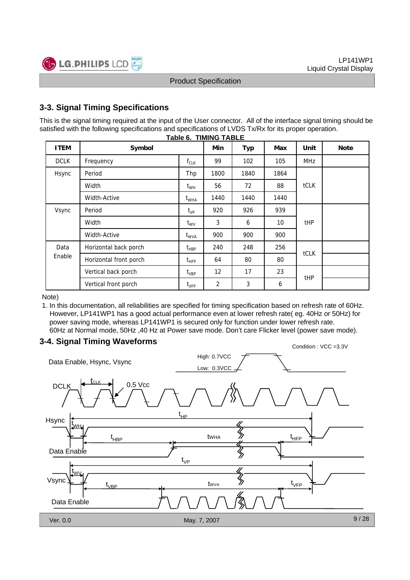

# **3-3. Signal Timing Specifications**

**Table 6. TIMING TABLE** This is the signal timing required at the input of the User connector. All of the interface signal timing should be satisfied with the following specifications and specifications of LVDS Tx/Rx for its proper operation.

|             |                                    |                               | <b>ADIE 0. TIIVIIIVU TADLE</b> |            |            |             |             |
|-------------|------------------------------------|-------------------------------|--------------------------------|------------|------------|-------------|-------------|
| <b>ITEM</b> | Symbol                             |                               | Min                            | <b>Typ</b> | <b>Max</b> | Unit        | <b>Note</b> |
| <b>DCLK</b> | Frequency                          | $f_{CLK}$                     | 99                             | 102        | 105        | MHz         |             |
| Hsync       | Period<br>Thp<br>Width<br>$t_{WH}$ |                               | 1800                           | 1840       | 1864       |             |             |
|             |                                    |                               | 56                             | 72         | 88         | <b>tCLK</b> |             |
|             | <b>Width-Active</b>                | $t_{\sf WHA}$                 | 1440                           | 1440       | 1440       |             |             |
| Vsync       | Period<br>Width                    |                               | 920                            | 926        | 939        |             |             |
|             |                                    |                               | 3                              | 6          | 10         | tHP         |             |
|             | <b>Width-Active</b>                | $t_{\text{WVA}}$              | 900                            | 900        | 900        |             |             |
| Data        | Horizontal back porch              | $t_{\sf HBP}$                 | 240                            | 248        | 256        |             |             |
| Enable      | Horizontal front porch             | $\mathfrak{t}_{\texttt{HFP}}$ | 64                             | 80         | 80         | <b>tCLK</b> |             |
|             | Vertical back porch                | $t_{VBP}$                     | 12                             | 17         | 23         |             |             |
|             | Vertical front porch               | $t_{\rm VFP}$                 | $\overline{2}$                 | 3          | 6          | tHP         |             |

Note)

1. In this documentation, all reliabilities are specified for timing specification based on refresh rate of 60Hz. However, LP141WP1 has a good actual performance even at lower refresh rate( eg. 40Hz or 50Hz) for power saving mode, whereas LP141WP1 is secured only for function under lower refresh rate. 60Hz at Normal mode, 50Hz ,40 Hz at Power save mode. Don't care Flicker level (power save mode).

# **3-4. Signal Timing Waveforms** Condition : VCC =3.3V

| Data Enable, Hsync, Vsync                    | High: 0.7VCC<br>Low: 0.3VCC                            |
|----------------------------------------------|--------------------------------------------------------|
| $t_{CLK}$<br>$0.5$ Vcc<br><b>DCLK</b>        |                                                        |
| Hsync<br>WH.<br>$t_{\sf HBP}$<br>Data Enable | $\mathfrak{t}_{\texttt{HP}}$<br>twha<br>$t_{\sf{HFP}}$ |
| Vsync<br>$t_{\forall BP}$<br>Data Enable     | $t_{VP}$<br>$t_{\sf VFP}$<br>twva                      |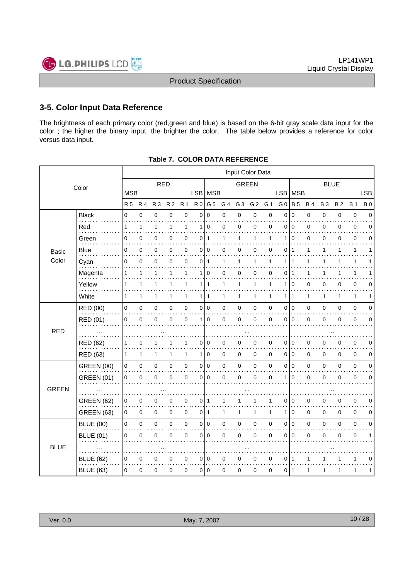

# **3-5. Color Input Data Reference**

The brightness of each primary color (red,green and blue) is based on the 6-bit gray scale data input for the color ; the higher the binary input, the brighter the color. The table below provides a reference for color versus data input.

|                                      |             |              |              |                |                     |              | <b>GREEN</b>                     |                                                                                                                             |                |                | <b>BLUE</b> |                  |              |                                                        |             |              |              |            |
|--------------------------------------|-------------|--------------|--------------|----------------|---------------------|--------------|----------------------------------|-----------------------------------------------------------------------------------------------------------------------------|----------------|----------------|-------------|------------------|--------------|--------------------------------------------------------|-------------|--------------|--------------|------------|
|                                      |             |              |              |                |                     |              |                                  |                                                                                                                             |                | <b>LSB</b>     |             |                  |              |                                                        |             |              |              |            |
|                                      | <b>R5</b>   | <b>R4</b>    | <b>R3</b>    | R <sub>2</sub> | <b>R1</b>           |              |                                  | G 4                                                                                                                         | G <sub>3</sub> | G <sub>2</sub> | G 1         | G <sub>0</sub>   |              | <b>B4</b>                                              | <b>B3</b>   | <b>B2</b>    | <b>B</b> 1   | <b>B</b> 0 |
| <b>Black</b><br>$\sim$ $\sim$ $\sim$ | 0           | 0            | 0            | 0              | 0                   | 0            | $\mathbf 0$                      | 0                                                                                                                           | 0              | 0              | 0           | 0                | 0            | 0                                                      | 0           | 0            | $\mathbf 0$  | 0          |
| Red                                  | 1           | 1            | 1            | 1              | $\mathbf{1}$        |              | $\overline{0}$                   | 0                                                                                                                           | 0              | 0              | 0           | 0                | $\mathbf 0$  | 0                                                      | 0           | 0            | $\pmb{0}$    | 0          |
| Green                                | 0           | $\mathbf 0$  | $\pmb{0}$    | 0              | $\pmb{0}$           |              | $\mathbf{1}$                     | 1                                                                                                                           | 1              | 1              | 1           | 1                | $\mathbf 0$  | 0                                                      | 0           | 0            | $\pmb{0}$    | 0          |
| <b>Blue</b>                          | 0           | $\pmb{0}$    | 0            | 0              | 0                   |              | $\pmb{0}$                        | 0                                                                                                                           | 0              | 0              | 0           | 0                | $\mathbf{1}$ | 1                                                      | 1           | 1            | 1            | 1          |
| Cyan                                 | 0           | 0            | 0            | 0              | $\mathbf 0$         | 0            | $\mathbf{1}$                     | 1                                                                                                                           | 1              | $\mathbf{1}$   | 1           | 1                | 1            | 1                                                      | 1           | 1            | $\mathbf{1}$ | 1          |
| Magenta                              | 1           | 1            | 1            | 1              | 1                   | 1            | 0                                | 0                                                                                                                           | 0              | 0              | 0           | 0                | 1            | 1                                                      | 1           |              | 1            | 1          |
| Yellow                               | 1           | 1            | 1            | 1              | $\mathbf{1}$        |              |                                  | $\mathbf{1}$                                                                                                                | 1              | $\mathbf{1}$   | 1           | 1                | $\mathbf 0$  | 0                                                      | $\mathbf 0$ | 0            | $\mathbf 0$  | 0          |
| White                                | 1           | $\mathbf{1}$ | $\mathbf{1}$ | 1              | $\mathbf{1}$        |              | $\mathbf{1}$                     | $\mathbf{1}$                                                                                                                | $\mathbf{1}$   | $\mathbf{1}$   | 1           |                  |              | 1                                                      | 1           | $\mathbf{1}$ | 1            | 1          |
| RED (00)                             | $\mathbf 0$ | $\pmb{0}$    | $\pmb{0}$    | 0              | $\mathsf{O}\xspace$ |              |                                  | 0                                                                                                                           | $\pmb{0}$      | 0              | 0           |                  |              | 0                                                      | $\mathbf 0$ | 0            | $\mathbf 0$  | 0          |
| RED (01)                             | 0           | 0            | 0            | 0              | $\mathbf 0$         | $\mathbf{1}$ | $\mathbf 0$                      | 0                                                                                                                           | $\mathbf 0$    | 0              | 0           | 0                | $\mathbf 0$  | 0                                                      | $\mathbf 0$ | 0            | $\mathbf 0$  | 0          |
|                                      |             |              |              |                |                     |              |                                  |                                                                                                                             |                |                |             |                  |              |                                                        |             |              |              |            |
| <b>RED (62)</b>                      | 1           | 1            | 1            |                | 1                   | 0            | $\mathbf 0$                      | 0                                                                                                                           | 0              | 0              | 0           | 0                | $\mathbf 0$  | 0                                                      | $\mathbf 0$ | 0            | $\mathbf 0$  | 0          |
| RED (63)                             | 1           | $\mathbf{1}$ | $\mathbf{1}$ | 1              | $\mathbf{1}$        |              | $\mathbf 0$                      | 0                                                                                                                           | $\mathbf 0$    | 0              | $\mathbf 0$ |                  |              | 0                                                      | $\mathbf 0$ | 0            | $\mathbf 0$  | 0          |
| <b>GREEN (00)</b>                    | 0           | $\mathbf 0$  | $\mathbf 0$  | 0              | $\mathsf{O}\xspace$ |              |                                  | 0                                                                                                                           | $\pmb{0}$      | 0              | 0           |                  |              | 0                                                      | $\mathbf 0$ | 0            | $\mathbf 0$  | 0          |
| <b>GREEN (01)</b>                    | 0           | 0            | $\mathbf 0$  | 0              | $\mathbf 0$         | 0            | $\mathbf 0$                      | 0                                                                                                                           | $\mathbf 0$    | 0              | 0           | 1                | $\Omega$     | 0                                                      | $\mathbf 0$ | 0            | $\mathbf 0$  | 0          |
|                                      |             |              |              |                |                     |              |                                  |                                                                                                                             |                |                |             |                  |              |                                                        |             |              |              |            |
| <b>GREEN (62)</b>                    | 0           | $\mathbf 0$  | $\mathbf 0$  | 0              | $\mathbf 0$         | 0            | $\mathbf{1}$                     | 1                                                                                                                           |                | 1              | 1           | $\Omega$         | $\mathbf 0$  | 0                                                      | $\mathbf 0$ | 0            | $\mathbf 0$  | 0          |
| <b>GREEN (63)</b>                    | $\mathbf 0$ | $\mathbf 0$  | $\mathbf 0$  | 0              | $\mathbf 0$         |              | $\mathbf{1}$                     | 1                                                                                                                           | 1              | 1              | 1           | 1                | $\mathbf 0$  | $\mathbf 0$                                            | 0           | 0            | $\mathbf 0$  | 0          |
| <b>BLUE (00)</b>                     | $\mathbf 0$ | $\pmb{0}$    | $\pmb{0}$    | 0              | $\mathsf{O}\xspace$ |              |                                  | 0                                                                                                                           | $\mathbf 0$    | 0              | 0           |                  |              | 0                                                      | $\mathbf 0$ | 0            | $\mathbf 0$  | 0          |
| <b>BLUE (01)</b>                     | 0           | 0            | 0            | 0              | 0                   | 0            | $\Omega$                         | 0                                                                                                                           | $\mathbf 0$    | 0              | 0           | $\Omega$         | $\Omega$     | 0                                                      | $\mathbf 0$ | $\Omega$     | $\mathbf 0$  | 1          |
|                                      |             |              |              |                |                     |              |                                  |                                                                                                                             |                |                |             |                  |              |                                                        |             |              |              |            |
| <b>BLUE (62)</b>                     | 0           | $\mathbf 0$  | $\mathbf 0$  | 0              | 0                   | 0            | $\mathbf 0$                      | 0                                                                                                                           | $\Omega$       | 0              | 0           | $\Omega$         | 1            | 1                                                      |             |              | 1            | 0          |
| <b>BLUE (63)</b>                     | 0           | 0            | $\mathbf 0$  | 0              | $\mathbf 0$         |              | $\mathbf 0$                      | 0                                                                                                                           | 0              | 0              | 0           |                  |              | 1                                                      | 1           | 1            | $\mathbf{1}$ | 1          |
|                                      | Color       |              | <b>MSB</b>   |                | <b>RED</b>          |              | $\overline{0}$<br>$\overline{0}$ | R0 G5<br>1 <sup>1</sup><br>111<br>1 <sup>1</sup><br>0 0<br>1 <sup>1</sup><br>0 0<br>$\overline{0}$<br>0 0<br>$\overline{0}$ | LSB   MSB      |                |             | Input Color Data |              | <b>B</b> 5<br>1   1<br>0 0<br>010<br>0 0<br>0 0<br>011 | LSB   MSB   |              |              |            |

#### **Table 7. COLOR DATA REFERENCE**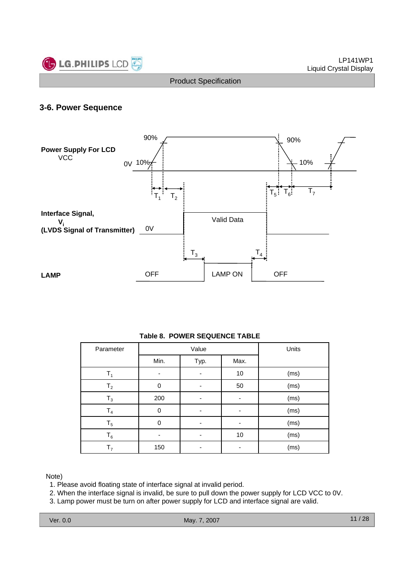

#### **3-6. Power Sequence**



| Parameter      |          | Value | Units |      |
|----------------|----------|-------|-------|------|
|                | Min.     | Typ.  | Max.  |      |
| $\mathsf{T}_1$ |          |       | 10    | (ms) |
| T <sub>2</sub> | $\Omega$ |       | 50    | (ms) |
| $T_3$          | 200      |       |       | (ms) |
| T <sub>4</sub> | $\Omega$ |       |       | (ms) |
| $T_5$          | 0        |       |       | (ms) |
| $T_6$          |          |       | 10    | (ms) |
| T <sub>7</sub> | 150      |       |       | (ms) |

#### **Table 8. POWER SEQUENCE TABLE**

#### Note)

- 1. Please avoid floating state of interface signal at invalid period.
- 2. When the interface signal is invalid, be sure to pull down the power supply for LCD VCC to 0V.
- 3. Lamp power must be turn on after power supply for LCD and interface signal are valid.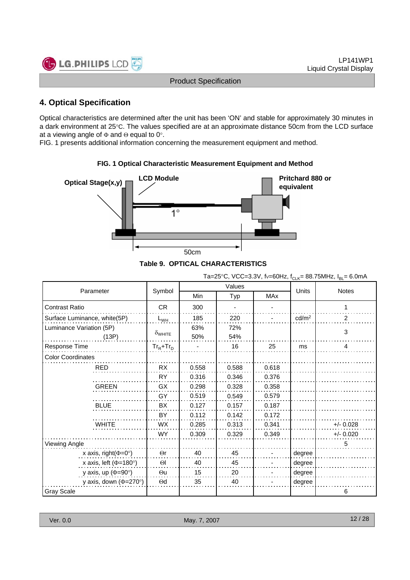

# **4. Optical Specification**

Optical characteristics are determined after the unit has been 'ON' and stable for approximately 30 minutes in a dark environment at 25°C. The values specified are at an approximate distance 50cm from the LCD surface at a viewing angle of  $\Phi$  and  $\Theta$  equal to 0°.

FIG. 1 presents additional information concerning the measurement equipment and method.



**FIG. 1 Optical Characteristic Measurement Equipment and Method**

#### **Table 9. OPTICAL CHARACTERISTICS**

|                                     |                           |            | Values            |       |                   |                |  |
|-------------------------------------|---------------------------|------------|-------------------|-------|-------------------|----------------|--|
| Parameter                           | Symbol                    | Min        | <b>MAx</b><br>Typ |       | Units             | <b>Notes</b>   |  |
| <b>Contrast Ratio</b>               | CR                        | 300        |                   |       |                   | 1              |  |
| Surface Luminance, white(5P)        | $L_{WH}$                  | 185        | 220               |       | cd/m <sup>2</sup> | $\overline{2}$ |  |
| Luminance Variation (5P)<br>(13P)   | $\delta_{\mathsf{WHITE}}$ | 63%<br>50% | 72%<br>54%        |       |                   | 3              |  |
| Response Time                       | $Tr_R + Tr_D$             |            | 16                | 25    | ms                | 4              |  |
| <b>Color Coordinates</b>            |                           |            |                   |       |                   |                |  |
| <b>RED</b>                          | <b>RX</b>                 | 0.558      | 0.588             | 0.618 |                   |                |  |
|                                     | <b>RY</b>                 | 0.316      | 0.346             | 0.376 |                   |                |  |
| <b>GREEN</b>                        | GX                        | 0.298      | 0.328             | 0.358 |                   |                |  |
|                                     | GY                        | 0.519      | 0.549             | 0.579 |                   |                |  |
| <b>BLUE</b>                         | BX                        | 0.127      | 0.157             | 0.187 |                   |                |  |
|                                     | BY                        | 0.112      | 0.142             | 0.172 |                   |                |  |
| <b>WHITE</b>                        | <b>WX</b>                 | 0.285      | 0.313             | 0.341 |                   | $+/- 0.028$    |  |
|                                     | <b>WY</b>                 | 0.309      | 0.329             | 0.349 |                   | $+/- 0.020$    |  |
| <b>Viewing Angle</b>                |                           |            |                   |       |                   | 5              |  |
| x axis, right( $\Phi$ =0°)          | $\Theta$ r                | 40         | 45                |       | degree            |                |  |
| x axis, left ( $\Phi$ =180°)        | $\Theta$                  | 40         | 45                |       | degree            |                |  |
| y axis, up ( $\Phi$ =90°)           | $\Theta$ u                | 15         | 20                |       | degree            |                |  |
| y axis, down $(\Phi = 270^{\circ})$ | $\Theta$ d                | 35         | 40                |       | degree            |                |  |
| <b>Gray Scale</b>                   |                           |            |                   |       |                   | 6              |  |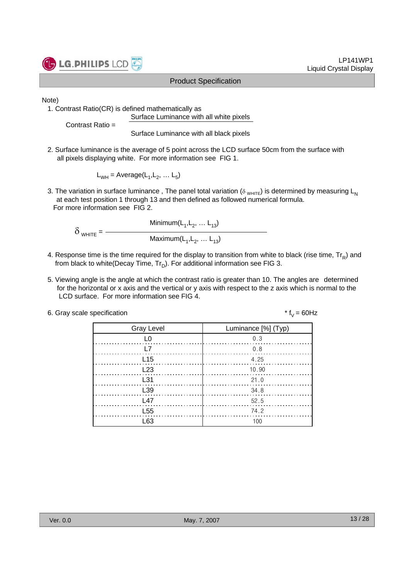

Note)

1. Contrast Ratio(CR) is defined mathematically as

Surface Luminance with all white pixels

Contrast Ratio =

Surface Luminance with all black pixels

2. Surface luminance is the average of 5 point across the LCD surface 50cm from the surface with all pixels displaying white. For more information see FIG 1.

 $L_{WH}$  = Average( $L_1, L_2, ... L_n$ )

3. The variation in surface luminance, The panel total variation ( $\delta_{WHTE}$ ) is determined by measuring L<sub>N</sub> at each test position 1 through 13 and then defined as followed numerical formula. For more information see FIG 2.

Minimum $(L_1, L_2, ... L_{13})$  $\delta$ <sub>WHITE</sub> =  $-$ Maximum $(L_1, L_2, ... L_{13})$ 

- 4. Response time is the time required for the display to transition from white to black (rise time,  $Tr_R$ ) and from black to white(Decay Time,  $Tr_D$ ). For additional information see FIG 3.
- 5. Viewing angle is the angle at which the contrast ratio is greater than 10. The angles are determined for the horizontal or x axis and the vertical or y axis with respect to the z axis which is normal to the LCD surface. For more information see FIG 4.
- 6. Gray scale specification  $* f_V = 60 Hz$

| <b>Gray Level</b> | Luminance [%] (Typ) |
|-------------------|---------------------|
|                   | 0.3                 |
| I 7               | 0.8                 |
| L15               | 4.25                |
| L23               | 10.90               |
| L31               | 21.0                |
| L39               | - 34.8              |
| L47               | 52.5                |
| L <sub>55</sub>   | 74.2                |
| -63               | 100                 |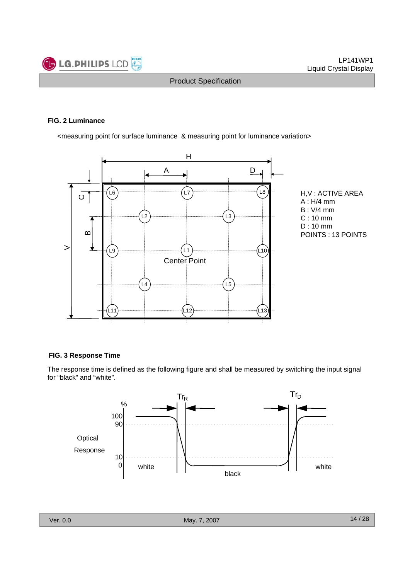

#### **FIG. 2 Luminance**

<measuring point for surface luminance & measuring point for luminance variation>



H,V : ACTIVE AREA A : H/4 mm B : V/4 mm C : 10 mm D : 10 mm POINTS : 13 POINTS

#### **FIG. 3 Response Time**

The response time is defined as the following figure and shall be measured by switching the input signal for "black" and "white".

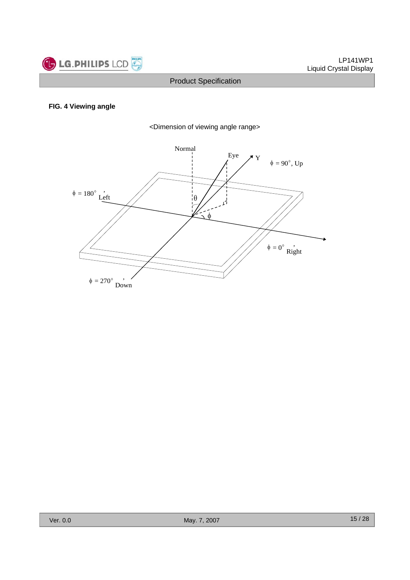

#### **FIG. 4 Viewing angle**

<Dimension of viewing angle range>

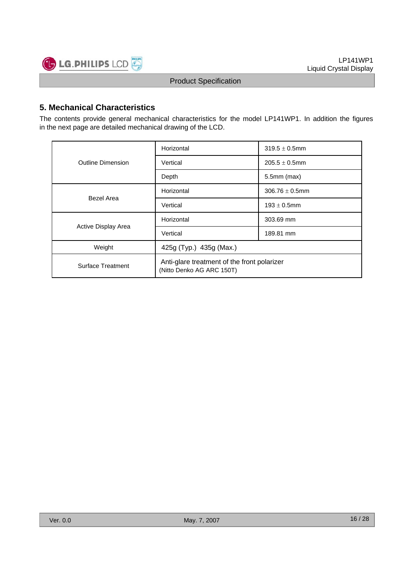

# **5. Mechanical Characteristics**

The contents provide general mechanical characteristics for the model LP141WP1. In addition the figures in the next page are detailed mechanical drawing of the LCD.

|                          | Horizontal                                                               | $319.5 \pm 0.5$ mm  |  |  |  |
|--------------------------|--------------------------------------------------------------------------|---------------------|--|--|--|
| Outline Dimension        | Vertical                                                                 | $205.5 \pm 0.5$ mm  |  |  |  |
|                          | Depth                                                                    | $5.5$ mm $(max)$    |  |  |  |
| Bezel Area               | Horizontal                                                               | $306.76 \pm 0.5$ mm |  |  |  |
|                          | Vertical                                                                 | $193 \pm 0.5$ mm    |  |  |  |
|                          | Horizontal                                                               | 303.69 mm           |  |  |  |
| Active Display Area      | Vertical                                                                 | 189.81 mm           |  |  |  |
| Weight                   | 425g (Typ.) 435g (Max.)                                                  |                     |  |  |  |
| <b>Surface Treatment</b> | Anti-glare treatment of the front polarizer<br>(Nitto Denko AG ARC 150T) |                     |  |  |  |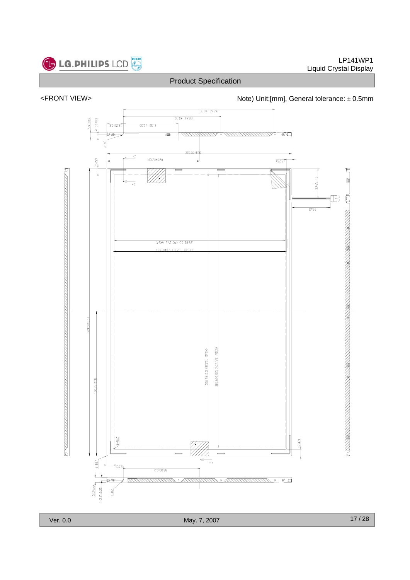

#### <FRONT VIEW>  $\blacksquare$  Note) Unit:[mm], General tolerance:  $\pm$  0.5mm

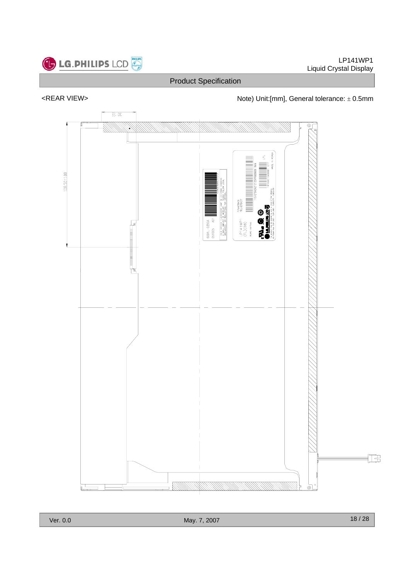

# <REAR VIEW>  $\blacksquare$  Note) Unit:[mm], General tolerance:  $\pm$  0.5mm

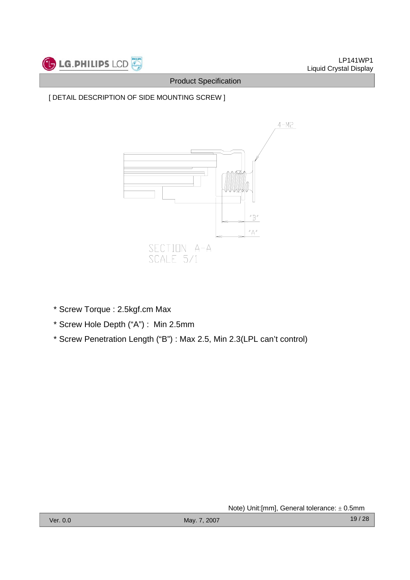# [ DETAIL DESCRIPTION OF SIDE MOUNTING SCREW ]

![](_page_18_Figure_4.jpeg)

- \* Screw Torque : 2.5kgf.cm Max
- \* Screw Hole Depth ("A") : Min 2.5mm
- \* Screw Penetration Length ("B") : Max 2.5, Min 2.3(LPL can't control)

Note) Unit:[mm], General tolerance: ± 0.5mm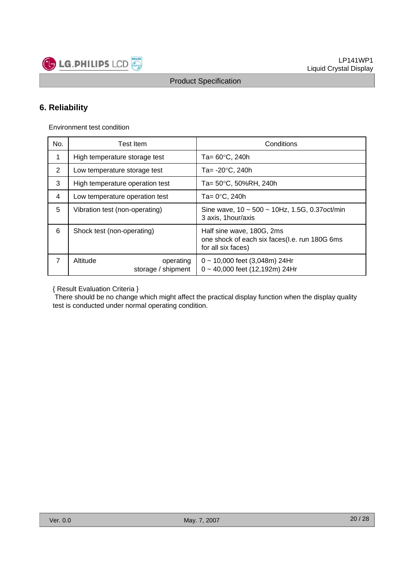![](_page_19_Picture_1.jpeg)

# **6. Reliability**

Environment test condition

LG.PHILIPS LCD

| No. | <b>Test Item</b>                            | Conditions                                                                                       |  |  |  |  |
|-----|---------------------------------------------|--------------------------------------------------------------------------------------------------|--|--|--|--|
| 1   | High temperature storage test               | Ta= 60°C, 240h                                                                                   |  |  |  |  |
| 2   | Low temperature storage test                | Ta= -20°C, 240h                                                                                  |  |  |  |  |
| 3   | High temperature operation test             | Ta= 50°C, 50%RH, 240h                                                                            |  |  |  |  |
| 4   | Low temperature operation test              | Ta= $0^{\circ}$ C, 240h                                                                          |  |  |  |  |
| 5   | Vibration test (non-operating)              | Sine wave, $10 \sim 500 \sim 10$ Hz, 1.5G, 0.37 oct/min<br>3 axis, 1 hour/axis                   |  |  |  |  |
| 6   | Shock test (non-operating)                  | Half sine wave, 180G, 2ms<br>one shock of each six faces(I.e. run 180G 6ms<br>for all six faces) |  |  |  |  |
| 7   | Altitude<br>operating<br>storage / shipment | $0 \sim 10,000$ feet (3,048m) 24Hr<br>0~40,000 feet (12,192m) 24Hr                               |  |  |  |  |

{ Result Evaluation Criteria }

There should be no change which might affect the practical display function when the display quality test is conducted under normal operating condition.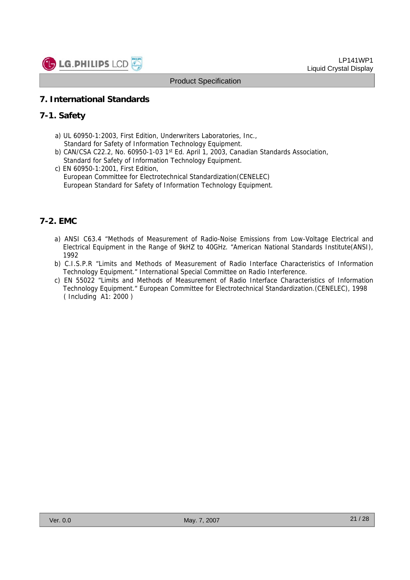![](_page_20_Picture_0.jpeg)

#### **7. International Standards**

#### **7-1. Safety**

- a) UL 60950-1:2003, First Edition, Underwriters Laboratories, Inc., Standard for Safety of Information Technology Equipment.
- b) CAN/CSA C22.2, No. 60950-1-03 1<sup>st</sup> Ed. April 1, 2003, Canadian Standards Association, Standard for Safety of Information Technology Equipment.
- c) EN 60950-1:2001, First Edition, European Committee for Electrotechnical Standardization(CENELEC) European Standard for Safety of Information Technology Equipment.

#### **7-2. EMC**

- a) ANSI C63.4 "Methods of Measurement of Radio-Noise Emissions from Low-Voltage Electrical and Electrical Equipment in the Range of 9kHZ to 40GHz. "American National Standards Institute(ANSI), 1992
- b) C.I.S.P.R "Limits and Methods of Measurement of Radio Interface Characteristics of Information Technology Equipment." International Special Committee on Radio Interference.
- c) EN 55022 "Limits and Methods of Measurement of Radio Interface Characteristics of Information Technology Equipment." European Committee for Electrotechnical Standardization.(CENELEC), 1998 ( Including A1: 2000 )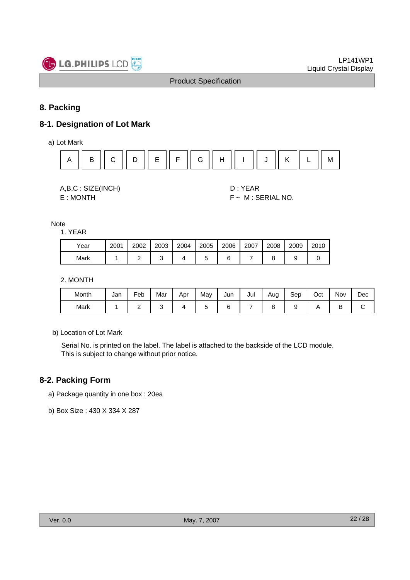![](_page_21_Picture_0.jpeg)

# **8. Packing**

#### **8-1. Designation of Lot Mark**

a) Lot Mark

![](_page_21_Figure_6.jpeg)

A,B,C : SIZE(INCH) D : YEAR

E : MONTH F ~ M : SERIAL NO.

**Note** 

1. YEAR

| Year | 2001 | 2002 | 2003 | 2004 | 2005 | 2006 | 2007 | 2008 | 2009 | 2010 |
|------|------|------|------|------|------|------|------|------|------|------|
| Mark |      |      |      |      |      |      |      |      |      |      |

2. MONTH

| Month | Jan | -<br>⊦eb | Mar | Apr | May | Jun | Jul | Aug | Sep | Oct | Nov    | Dec |
|-------|-----|----------|-----|-----|-----|-----|-----|-----|-----|-----|--------|-----|
| Mark  |     | -        |     |     | ∼   | ∽   |     |     |     |     | -<br>◡ |     |

b) Location of Lot Mark

Serial No. is printed on the label. The label is attached to the backside of the LCD module. This is subject to change without prior notice.

# **8-2. Packing Form**

a) Package quantity in one box : 20ea

b) Box Size : 430 X 334 X 287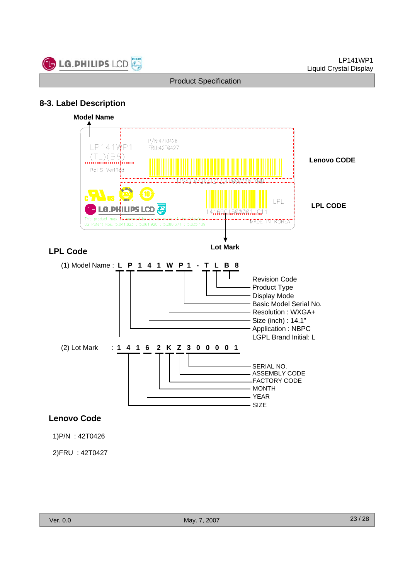![](_page_22_Picture_0.jpeg)

## **8-3. Label Description**

![](_page_22_Figure_4.jpeg)

#### **Lenovo Code**

1)P/N : 42T0426

2)FRU : 42T0427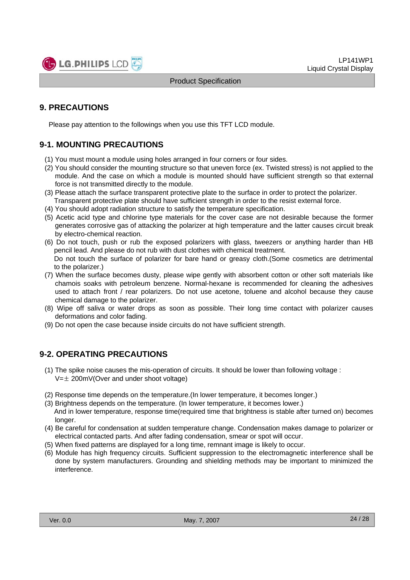![](_page_23_Picture_0.jpeg)

## **9. PRECAUTIONS**

Please pay attention to the followings when you use this TFT LCD module.

# **9-1. MOUNTING PRECAUTIONS**

- (1) You must mount a module using holes arranged in four corners or four sides.
- (2) You should consider the mounting structure so that uneven force (ex. Twisted stress) is not applied to the module. And the case on which a module is mounted should have sufficient strength so that external force is not transmitted directly to the module.
- (3) Please attach the surface transparent protective plate to the surface in order to protect the polarizer. Transparent protective plate should have sufficient strength in order to the resist external force.
- (4) You should adopt radiation structure to satisfy the temperature specification.
- (5) Acetic acid type and chlorine type materials for the cover case are not desirable because the former generates corrosive gas of attacking the polarizer at high temperature and the latter causes circuit break by electro-chemical reaction.
- (6) Do not touch, push or rub the exposed polarizers with glass, tweezers or anything harder than HB pencil lead. And please do not rub with dust clothes with chemical treatment. Do not touch the surface of polarizer for bare hand or greasy cloth.(Some cosmetics are detrimental to the polarizer.)
- (7) When the surface becomes dusty, please wipe gently with absorbent cotton or other soft materials like chamois soaks with petroleum benzene. Normal-hexane is recommended for cleaning the adhesives used to attach front / rear polarizers. Do not use acetone, toluene and alcohol because they cause chemical damage to the polarizer.
- (8) Wipe off saliva or water drops as soon as possible. Their long time contact with polarizer causes deformations and color fading.
- (9) Do not open the case because inside circuits do not have sufficient strength.

#### **9-2. OPERATING PRECAUTIONS**

- (1) The spike noise causes the mis-operation of circuits. It should be lower than following voltage :  $V=\pm 200$ mV(Over and under shoot voltage)
- (2) Response time depends on the temperature.(In lower temperature, it becomes longer.)
- (3) Brightness depends on the temperature. (In lower temperature, it becomes lower.) And in lower temperature, response time(required time that brightness is stable after turned on) becomes longer.
- (4) Be careful for condensation at sudden temperature change. Condensation makes damage to polarizer or electrical contacted parts. And after fading condensation, smear or spot will occur.
- (5) When fixed patterns are displayed for a long time, remnant image is likely to occur.
- (6) Module has high frequency circuits. Sufficient suppression to the electromagnetic interference shall be done by system manufacturers. Grounding and shielding methods may be important to minimized the interference.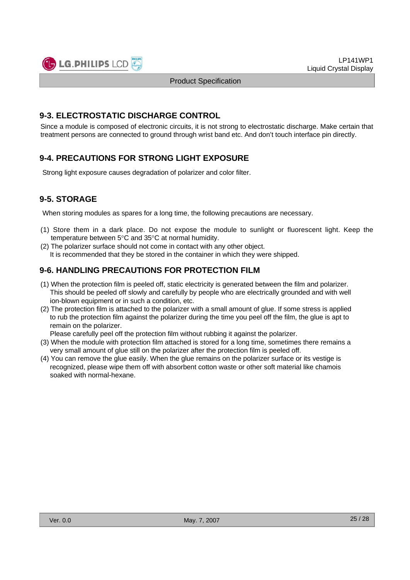#### **9-3. ELECTROSTATIC DISCHARGE CONTROL**

Since a module is composed of electronic circuits, it is not strong to electrostatic discharge. Make certain that treatment persons are connected to ground through wrist band etc. And don't touch interface pin directly.

# **9-4. PRECAUTIONS FOR STRONG LIGHT EXPOSURE**

Strong light exposure causes degradation of polarizer and color filter.

# **9-5. STORAGE**

When storing modules as spares for a long time, the following precautions are necessary.

- (1) Store them in a dark place. Do not expose the module to sunlight or fluorescent light. Keep the temperature between 5°C and 35°C at normal humidity.
- (2) The polarizer surface should not come in contact with any other object. It is recommended that they be stored in the container in which they were shipped.

## **9-6. HANDLING PRECAUTIONS FOR PROTECTION FILM**

- (1) When the protection film is peeled off, static electricity is generated between the film and polarizer. This should be peeled off slowly and carefully by people who are electrically grounded and with well ion-blown equipment or in such a condition, etc.
- (2) The protection film is attached to the polarizer with a small amount of glue. If some stress is applied to rub the protection film against the polarizer during the time you peel off the film, the glue is apt to remain on the polarizer.

Please carefully peel off the protection film without rubbing it against the polarizer.

- (3) When the module with protection film attached is stored for a long time, sometimes there remains a very small amount of glue still on the polarizer after the protection film is peeled off.
- (4) You can remove the glue easily. When the glue remains on the polarizer surface or its vestige is recognized, please wipe them off with absorbent cotton waste or other soft material like chamois soaked with normal-hexane.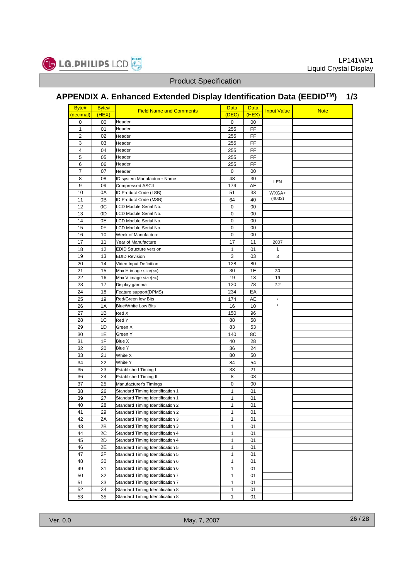![](_page_25_Picture_0.jpeg)

# **APPENDIX A. Enhanced Extended Display Identification Data (EEDIDTM) 1/3**

| Byte#          | Byte#          |                                  | <b>Data</b>  | <b>Data</b> |                    |             |
|----------------|----------------|----------------------------------|--------------|-------------|--------------------|-------------|
| (decimal)      | (HEX)          | <b>Field Name and Comments</b>   | (DEC)        | (HEX)       | <b>Input Value</b> | <b>Note</b> |
| 0              | 00             | Header                           | 0            | 00          |                    |             |
| $\mathbf{1}$   | 01             | Header                           | 255          | FF          |                    |             |
| $\overline{2}$ | 02             | Header                           | 255          | FF          |                    |             |
| 3              | 03             | Header                           | 255          | FF          |                    |             |
| $\overline{4}$ | 04             | Header                           | 255          | FF          |                    |             |
| 5              | 05             | Header                           | 255          | FF          |                    |             |
| 6              | 06             | Header                           | 255          | FF          |                    |             |
| 7              | 07             | Header                           | 0            | 00          |                    |             |
| 8              | 08             | D system Manufacturer Name       | 48           | 30          |                    |             |
| 9              | 09             | Compressed ASCII                 | 174          | AE          | LEN                |             |
| 10             | 0A             | ID Product Code (LSB)            | 51           | 33          | WXGA+              |             |
| 11             | 0 <sub>B</sub> | ID Product Code (MSB)            | 64           | 40          | (4033)             |             |
| 12             | 0C             | LCD Module Serial No.            | 0            | 00          |                    |             |
| 13             | 0D             | LCD Module Serial No.            | 0            | 00          |                    |             |
| 14             | 0E             | LCD Module Serial No.            | 0            | 00          |                    |             |
| 15             | 0F             | LCD Module Serial No.            | $\mathbf 0$  | 00          |                    |             |
| 16             | 10             | Week of Manufacture              | 0            | 00          |                    |             |
| 17             | 11             | Year of Manufacture              | 17           | 11          | 2007               |             |
| 18             | 12             | <b>EDID Structure version</b>    | $\mathbf{1}$ | 01          | 1                  |             |
| 19             | 13             | <b>EDID Revision</b>             | 3            | 03          | 3                  |             |
| 20             | 14             | Video Input Definition           | 128          | 80          |                    |             |
| 21             | 15             | Max H image size(cm)             | 30           | 1E          | 30                 |             |
| 22             | 16             | Max V image size(cm)             | 19           | 13          | 19                 |             |
| 23             | 17             | Display gamma                    | 120          | 78          | 2.2                |             |
| 24             | 18             | Feature support(DPMS)            | 234          | EА          |                    |             |
| 25             | 19             | Red/Green low Bits               | 174          | AE          | $^\star$           |             |
| 26             | 1A             | <b>Blue/White Low Bits</b>       | 16           | 10          | $\star$            |             |
| 27             | 1B             | Red X                            | 150          | 96          |                    |             |
| 28             | 1C             | Red Y                            | 88           | 58          |                    |             |
| 29             | 1D             | Green X                          | 83           | 53          |                    |             |
| 30             | 1E             | Green Y                          | 140          | 8C          |                    |             |
| 31             | 1F             | Blue X                           | 40           | 28          |                    |             |
| 32             | 20             | <b>Blue Y</b>                    | 36           | 24          |                    |             |
| 33             | 21             | White X                          | 80           | 50          |                    |             |
| 34             | 22             | White Y                          | 84           | 54          |                    |             |
| 35             | 23             | <b>Established Timing I</b>      | 33           | 21          |                    |             |
| 36             | 24             | <b>Established Timing II</b>     | 8            | 08          |                    |             |
| 37             | 25             | Manufacturer's Timings           | 0            | 00          |                    |             |
| 38             | 26             | Standard Timing Identification 1 | 1            | 01          |                    |             |
| 39             | 27             | Standard Timing Identification 1 | 1            | 01          |                    |             |
| 40             | 28             | Standard Timing Identification 2 | $\mathbf{1}$ | 01          |                    |             |
| 41             | 29             | Standard Timing Identification 2 | 1            | 01          |                    |             |
| 42             | 2A             | Standard Timing Identification 3 | $\mathbf{1}$ | 01          |                    |             |
| 43             | 2B             | Standard Timing Identification 3 | $\mathbf{1}$ | 01          |                    |             |
| 44             | 2C             | Standard Timing Identification 4 | 1            | 01          |                    |             |
| 45             | 2D             | Standard Timing Identification 4 | $\mathbf{1}$ | 01          |                    |             |
| 46             | 2E             | Standard Timing Identification 5 | 1            | 01          |                    |             |
| 47             | 2F             | Standard Timing Identification 5 | 1            | 01          |                    |             |
| 48             | 30             | Standard Timing Identification 6 | 1            | 01          |                    |             |
| 49             | 31             | Standard Timing Identification 6 | $\mathbf{1}$ | 01          |                    |             |
| 50             | 32             | Standard Timing Identification 7 | 1            | 01          |                    |             |
| 51             | 33             | Standard Timing Identification 7 | 1            | 01          |                    |             |
| 52             | 34             | Standard Timing Identification 8 | 1            | 01          |                    |             |
| 53             | 35             | Standard Timing Identification 8 | $\mathbf{1}$ | 01          |                    |             |
|                |                |                                  |              |             |                    |             |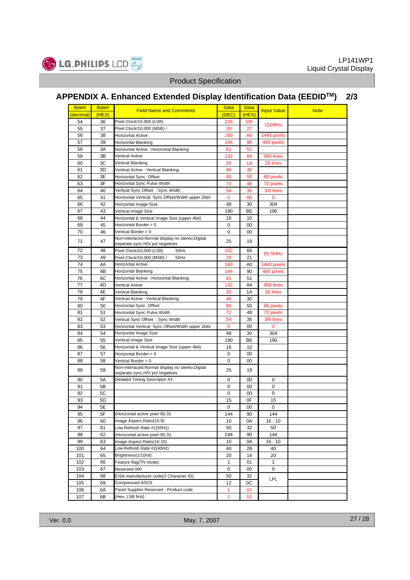![](_page_26_Picture_0.jpeg)

# **APPENDIX A. Enhanced Extended Display Identification Data (EEDIDTM) 2/3**

| Byte#     | Byte# | <b>Field Name and Comments</b>                                                         | <b>Data</b>  | <b>Data</b>    | <b>Input Value</b> | <b>Note</b> |
|-----------|-------|----------------------------------------------------------------------------------------|--------------|----------------|--------------------|-------------|
| (decimal) | (HEX) |                                                                                        | (DEC)        | (HEX)          |                    |             |
| 54        | 36    | Pixel Clock/10,000 (LSB)                                                               | 216          | D8             | 102MHz             |             |
| 55        | 37    | Pixel Clock/10,000 (MSB) /                                                             | 39           | 27             |                    |             |
| 56        | 38    | <b>Horizontal Active</b>                                                               | 160          | A <sub>0</sub> | 1440 pixels        |             |
| 57        | 39    | Horizontal Blanking                                                                    | 144          | 90             | 400 pixels         |             |
| 58        | 3A    | Horizontal Active: Horizontal Blanking                                                 | 81           | 51             |                    |             |
| 59        | 3B    | Vertical Avtive                                                                        | 132          | 84             | 900 lines          |             |
| 60        | ЗC    | Vertical Blanking                                                                      | 26           | 1A             | 26 lines           |             |
| 61        | 3D    | Vertical Active : Vertical Blanking                                                    | 48           | 30             |                    |             |
| 62        | 3E    | Horizontal Sync. Offset                                                                | 80           | 50             | 80 pixels          |             |
|           | 3F    | Horizontal Sync Pulse Width                                                            |              |                |                    |             |
| 63        |       |                                                                                        | 72           | 48             | 72 pixels          |             |
| 64        | 40    | Vertical Sync Offset: Sync Width                                                       | 54           | 36             | 3/6 lines          |             |
| 65        | 41    | Horizontal Vertical Sync Offset/Width upper 2bits                                      | $\mathbf 0$  | 00             | 0                  |             |
| 66        | 42    | Horizontal Image Size                                                                  | 48           | 30             | 304                |             |
| 67        | 43    | Vertical Image Size                                                                    | 190          | BE             | 190                |             |
| 68        | 44    | Horizontal & Vertical Image Size (upper 4bit)                                          | 16           | 10             |                    |             |
| 69        | 45    | Horizontal Border = 0                                                                  | 0            | 00             |                    |             |
| 70        | 46    | Vertical Border = 0                                                                    | 0            | 00             |                    |             |
| 71        | 47    | Non-interlaced, Normal display, no stereo, Digital<br>separate sync,H/V pol negatives  | 25           | 19             |                    |             |
| 72        | 48    | Pixel Clock/10,000 (LSB)<br>50Hz                                                       | 102          | 66             |                    |             |
| 73        | 49    | Pixel Clock/10,000 (MSB) /<br>50Hz                                                     | 33           | 21             | 85.5MHz            |             |
| 74        | 4A    | Horizontal Active                                                                      | 160          | A <sub>0</sub> | 1440 pixels        |             |
| 75        | 4B    | Horizontal Blanking                                                                    | 144          | 90             | 400 pixels         |             |
| 76        | 4C    | Horizontal Active: Horizontal Blanking                                                 | 81           | 51             |                    |             |
| 77        | 4D    | <b>Vertical Avtive</b>                                                                 | 132          | 84             | 900 lines          |             |
| 78        | 4E    | Vertical Blanking                                                                      | 26           | 1A             | 26 lines           |             |
| 79        | 4F    | Vertical Active : Vertical Blanking                                                    | 48           | 30             |                    |             |
|           |       | Horizontal Sync. Offset                                                                |              |                |                    |             |
| 80        | 50    |                                                                                        | 80           | 50             | 80 pixels          |             |
| 81        | 51    | Horizontal Sync Pulse Width                                                            | 72           | 48             | 72 pixels          |             |
| 82        | 52    | Vertical Sync Offset : Sync Width                                                      | 54           | 36             | 3/6 lines          |             |
| 83        | 53    | Horizontal Vertical Sync Offset/Width upper 2bits                                      | $\mathbf{0}$ | 00             | $\mathbf{0}$       |             |
| 84        | 54    | Horizontal Image Size                                                                  | 48           | 30             | 304                |             |
| 85        | 55    | Vertical Image Size                                                                    | 190          | BE             | 190                |             |
| 86        | 56    | Horizontal & Vertical Image Size (upper 4bit)                                          | 16           | 10             |                    |             |
| 87        | 57    | Horizontal Border = 0                                                                  | 0            | 00             |                    |             |
| 88        | 58    | Vertical Border = 0                                                                    | 0            | 00             |                    |             |
| 89        | 59    | Non-interlaced, Normal display, no stereo, Digital<br>separate sync, H/V pol negatives | 25           | 19             |                    |             |
| 90        | 5A    | Detailed Timing Descriptor #3                                                          | 0            | 00             | 0                  |             |
| 91        | 5B    |                                                                                        | 0            | 00             | 0                  |             |
| 92        | 5C    |                                                                                        | 0            | 00             | 0                  |             |
| 93        | 5D    |                                                                                        | 15           | 0F             | 15                 |             |
| 94        | 5E    |                                                                                        | 0            | 00             | $\mathbf 0$        |             |
| 95        | 5F    | (Horizontal active pixel /8)-31                                                        | 144          | 90             | 144                |             |
| 96        | 60    | Image Aspect Ratio(15:9)                                                               | 10           | 0A             | 16:10              |             |
| 97        | 61    | Low Refresh Rate #1(50Hz)                                                              | 50           | 32             | 50                 |             |
| 98        | 62    | (Horizontal active pixel /8)-31                                                        | 144          | 90             | 144                |             |
| 99        | 63    | Image Aspect Ratio(16:10)                                                              | 10           | 0A             | 16:10              |             |
| 100       | 64    | Low Refresh Rate #2(40Hz)                                                              | 40           | 28             | 40                 |             |
| 101       | 65    | Brightness(1/10nit)                                                                    | 20           | 14             | 20                 |             |
| 102       |       | Feature flag(TN mode)                                                                  | $\mathbf{1}$ |                | $\mathbf{1}$       |             |
|           | 66    |                                                                                        |              | 01             |                    |             |
| 103       | 67    | Reserved 00h                                                                           | 0            | 00             | 0                  |             |
| 104       | 68    | EISA manufacturer code(3 Character ID)                                                 | 50           | 32             | <b>LPL</b>         |             |
| 105       | 69    | Compressed ASCII                                                                       | 12           | 0C             |                    |             |
| 106       | 6A    | Panel Supplier Reserved - Product code                                                 | 1            | 01             |                    |             |
| 107       | 6B    | (Hex, LSB first)                                                                       | 1            | 01             |                    |             |